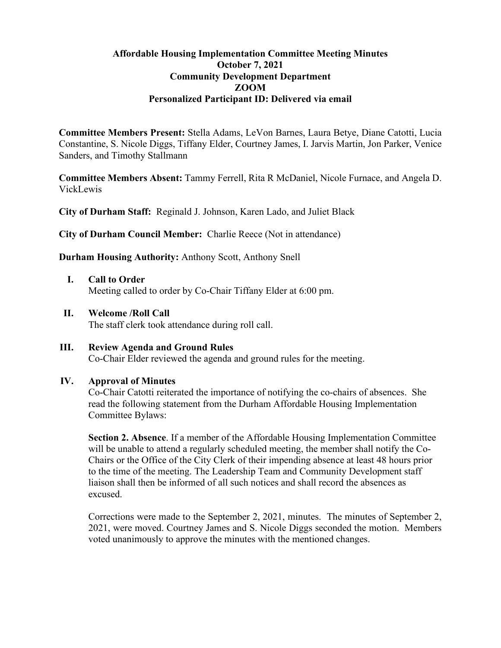# **Affordable Housing Implementation Committee Meeting Minutes October 7, 2021 Community Development Department ZOOM Personalized Participant ID: Delivered via email**

**Committee Members Present:** Stella Adams, LeVon Barnes, Laura Betye, Diane Catotti, Lucia Constantine, S. Nicole Diggs, Tiffany Elder, Courtney James, I. Jarvis Martin, Jon Parker, Venice Sanders, and Timothy Stallmann

**Committee Members Absent:** Tammy Ferrell, Rita R McDaniel, Nicole Furnace, and Angela D. VickLewis

**City of Durham Staff:** Reginald J. Johnson, Karen Lado, and Juliet Black

**City of Durham Council Member:** Charlie Reece (Not in attendance)

**Durham Housing Authority:** Anthony Scott, Anthony Snell

- **I. Call to Order**  Meeting called to order by Co-Chair Tiffany Elder at 6:00 pm.
- **II. Welcome /Roll Call**

The staff clerk took attendance during roll call.

**III. Review Agenda and Ground Rules** Co-Chair Elder reviewed the agenda and ground rules for the meeting.

## **IV. Approval of Minutes**

Co-Chair Catotti reiterated the importance of notifying the co-chairs of absences. She read the following statement from the Durham Affordable Housing Implementation Committee Bylaws:

**Section 2. Absence**. If a member of the Affordable Housing Implementation Committee will be unable to attend a regularly scheduled meeting, the member shall notify the Co-Chairs or the Office of the City Clerk of their impending absence at least 48 hours prior to the time of the meeting. The Leadership Team and Community Development staff liaison shall then be informed of all such notices and shall record the absences as excused.

Corrections were made to the September 2, 2021, minutes. The minutes of September 2, 2021, were moved. Courtney James and S. Nicole Diggs seconded the motion. Members voted unanimously to approve the minutes with the mentioned changes.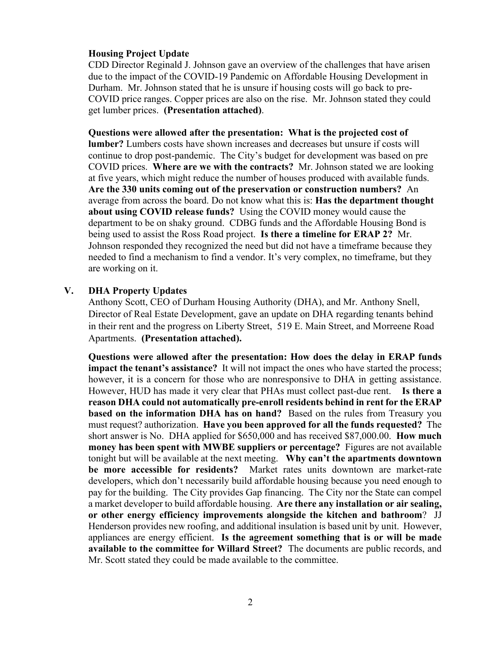## **Housing Project Update**

CDD Director Reginald J. Johnson gave an overview of the challenges that have arisen due to the impact of the COVID-19 Pandemic on Affordable Housing Development in Durham. Mr. Johnson stated that he is unsure if housing costs will go back to pre-COVID price ranges. Copper prices are also on the rise. Mr. Johnson stated they could get lumber prices. **(Presentation attached)**.

#### **Questions were allowed after the presentation: What is the projected cost of**

**lumber?** Lumbers costs have shown increases and decreases but unsure if costs will continue to drop post-pandemic. The City's budget for development was based on pre COVID prices. **Where are we with the contracts?** Mr. Johnson stated we are looking at five years, which might reduce the number of houses produced with available funds. **Are the 330 units coming out of the preservation or construction numbers?** An average from across the board. Do not know what this is: **Has the department thought about using COVID release funds?** Using the COVID money would cause the department to be on shaky ground. CDBG funds and the Affordable Housing Bond is being used to assist the Ross Road project. **Is there a timeline for ERAP 2?** Mr. Johnson responded they recognized the need but did not have a timeframe because they needed to find a mechanism to find a vendor. It's very complex, no timeframe, but they are working on it.

#### **V. DHA Property Updates**

Anthony Scott, CEO of Durham Housing Authority (DHA), and Mr. Anthony Snell, Director of Real Estate Development, gave an update on DHA regarding tenants behind in their rent and the progress on Liberty Street, 519 E. Main Street, and Morreene Road Apartments. **(Presentation attached).**

**Questions were allowed after the presentation: How does the delay in ERAP funds impact the tenant's assistance?** It will not impact the ones who have started the process; however, it is a concern for those who are nonresponsive to DHA in getting assistance. However, HUD has made it very clear that PHAs must collect past-due rent. **Is there a reason DHA could not automatically pre-enroll residents behind in rent for the ERAP based on the information DHA has on hand?** Based on the rules from Treasury you must request? authorization. **Have you been approved for all the funds requested?** The short answer is No. DHA applied for \$650,000 and has received \$87,000.00. **How much money has been spent with MWBE suppliers or percentage?** Figures are not available tonight but will be available at the next meeting. **Why can't the apartments downtown be more accessible for residents?** Market rates units downtown are market-rate developers, which don't necessarily build affordable housing because you need enough to pay for the building. The City provides Gap financing. The City nor the State can compel a market developer to build affordable housing. **Are there any installation or air sealing, or other energy efficiency improvements alongside the kitchen and bathroom**? JJ Henderson provides new roofing, and additional insulation is based unit by unit. However, appliances are energy efficient. **Is the agreement something that is or will be made available to the committee for Willard Street?** The documents are public records, and Mr. Scott stated they could be made available to the committee.